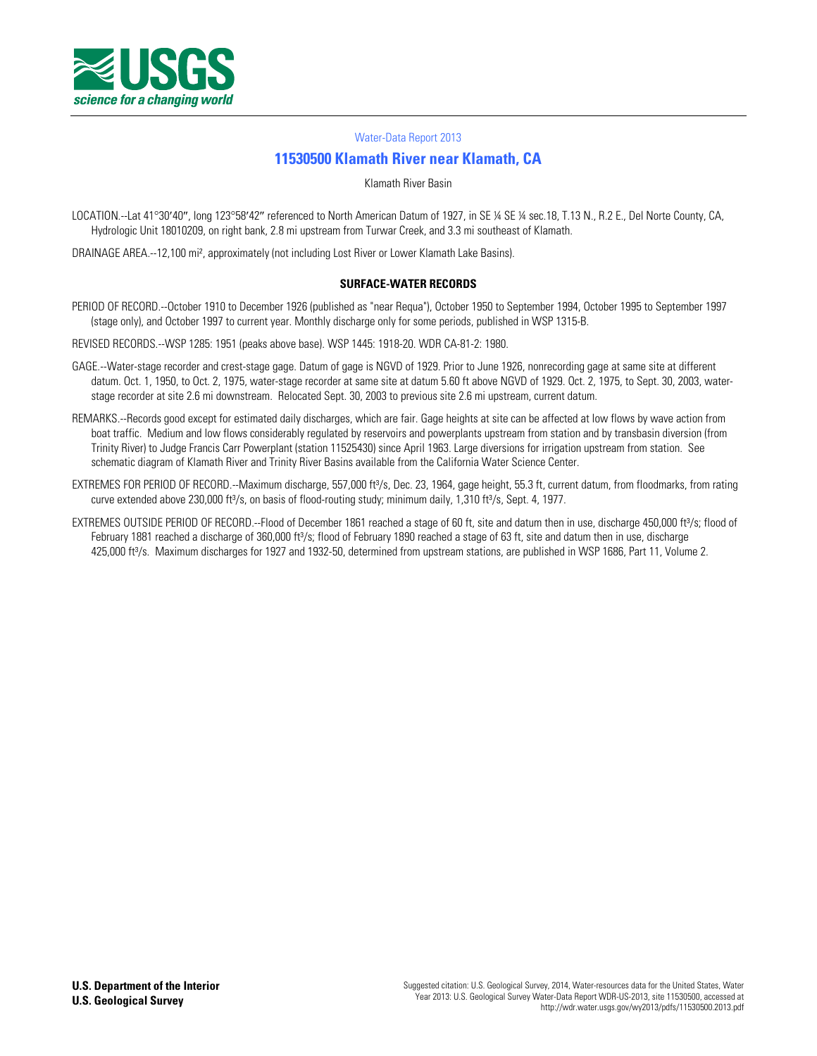

# **[11530500 Klamath River near Klamath, CA](http://waterdata.usgs.gov/nwis/nwisman/?site_no=11530500)**

Klamath River Basin

LOCATION.--Lat 41°30′40″, long 123°58′42″ referenced to North American Datum of 1927, in SE ¼ SE ¼ sec.18, T.13 N., R.2 E., Del Norte County, CA, Hydrologic Unit 18010209, on right bank, 2.8 mi upstream from Turwar Creek, and 3.3 mi southeast of Klamath.

DRAINAGE AREA.--12,100 mi², approximately (not including Lost River or Lower Klamath Lake Basins).

#### **SURFACE-WATER RECORDS**

PERIOD OF RECORD.--October 1910 to December 1926 (published as "near Requa"), October 1950 to September 1994, October 1995 to September 1997 (stage only), and October 1997 to current year. Monthly discharge only for some periods, published in WSP 1315-B.

REVISED RECORDS.--WSP 1285: 1951 (peaks above base). WSP 1445: 1918-20. WDR CA-81-2: 1980.

- GAGE.--Water-stage recorder and crest-stage gage. Datum of gage is NGVD of 1929. Prior to June 1926, nonrecording gage at same site at different datum. Oct. 1, 1950, to Oct. 2, 1975, water-stage recorder at same site at datum 5.60 ft above NGVD of 1929. Oct. 2, 1975, to Sept. 30, 2003, waterstage recorder at site 2.6 mi downstream. Relocated Sept. 30, 2003 to previous site 2.6 mi upstream, current datum.
- REMARKS.--Records good except for estimated daily discharges, which are fair. Gage heights at site can be affected at low flows by wave action from boat traffic. Medium and low flows considerably regulated by reservoirs and powerplants upstream from station and by transbasin diversion (from Trinity River) to Judge Francis Carr Powerplant (station 11525430) since April 1963. Large diversions for irrigation upstream from station. See schematic diagram of Klamath River and Trinity River Basins available from the California Water Science Center.
- EXTREMES FOR PERIOD OF RECORD.--Maximum discharge, 557,000 ft<sup>3</sup>/s, Dec. 23, 1964, gage height, 55.3 ft, current datum, from floodmarks, from rating curve extended above 230,000 ft<sup>3</sup>/s, on basis of flood-routing study; minimum daily, 1,310 ft<sup>3</sup>/s, Sept. 4, 1977.
- EXTREMES OUTSIDE PERIOD OF RECORD.--Flood of December 1861 reached a stage of 60 ft, site and datum then in use, discharge 450,000 ft<sup>3</sup>/s; flood of February 1881 reached a discharge of 360,000 ft<sup>3</sup>/s; flood of February 1890 reached a stage of 63 ft, site and datum then in use, discharge 425,000 ft<sup>3</sup>/s. Maximum discharges for 1927 and 1932-50, determined from upstream stations, are published in WSP 1686, Part 11, Volume 2.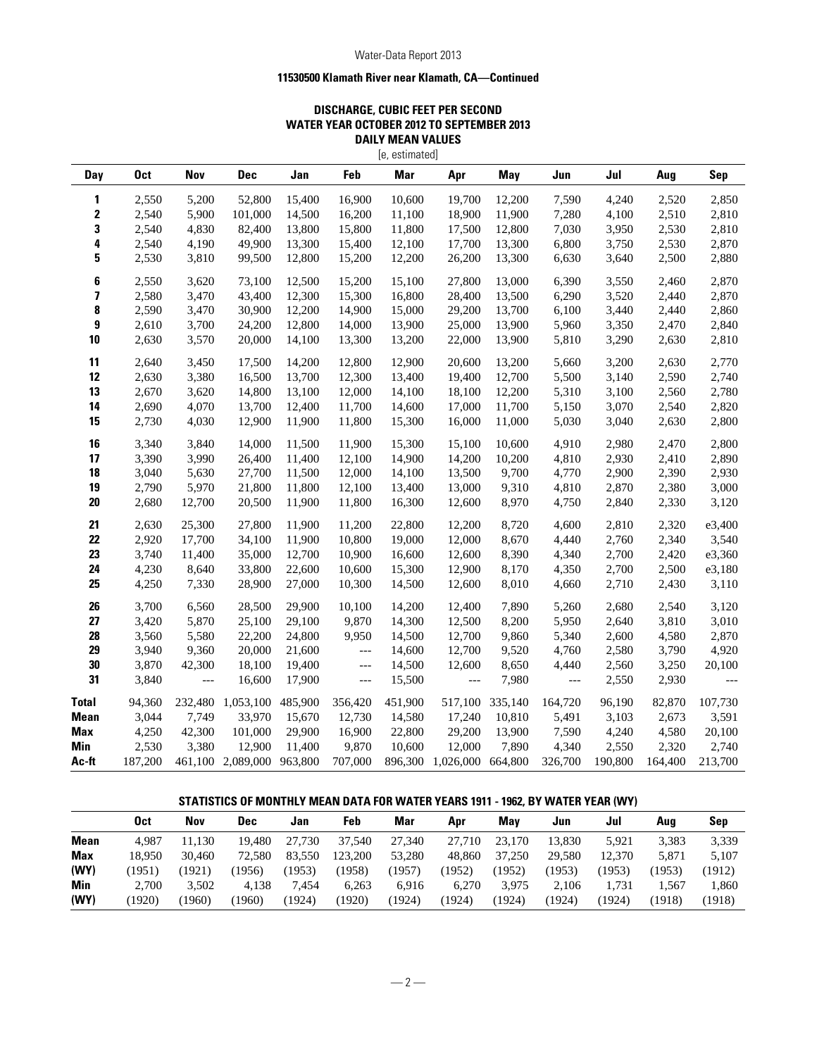# **11530500 Klamath River near Klamath, CA—Continued**

# **DISCHARGE, CUBIC FEET PER SECOND WATER YEAR OCTOBER 2012 TO SEPTEMBER 2013 DAILY MEAN VALUES**

|              |            |                          |            |         |                          | [e, estimated] |                           |            |                          |         |         |         |
|--------------|------------|--------------------------|------------|---------|--------------------------|----------------|---------------------------|------------|--------------------------|---------|---------|---------|
| Day          | <b>Oct</b> | Nov                      | <b>Dec</b> | Jan     | Feb                      | <b>Mar</b>     | Apr                       | <b>May</b> | Jun                      | Jul     | Aug     | Sep     |
| 1            | 2,550      | 5,200                    | 52,800     | 15,400  | 16,900                   | 10,600         | 19,700                    | 12,200     | 7,590                    | 4,240   | 2,520   | 2,850   |
| 2            | 2,540      | 5,900                    | 101,000    | 14,500  | 16,200                   | 11,100         | 18,900                    | 11,900     | 7,280                    | 4,100   | 2,510   | 2,810   |
| 3            | 2,540      | 4,830                    | 82,400     | 13,800  | 15,800                   | 11,800         | 17,500                    | 12,800     | 7,030                    | 3,950   | 2,530   | 2,810   |
| 4            | 2,540      | 4,190                    | 49,900     | 13,300  | 15,400                   | 12,100         | 17,700                    | 13,300     | 6,800                    | 3,750   | 2,530   | 2,870   |
| 5            | 2,530      | 3,810                    | 99,500     | 12,800  | 15,200                   | 12,200         | 26,200                    | 13,300     | 6,630                    | 3,640   | 2,500   | 2,880   |
| 6            | 2,550      | 3,620                    | 73,100     | 12,500  | 15,200                   | 15,100         | 27,800                    | 13,000     | 6,390                    | 3,550   | 2,460   | 2,870   |
| 7            | 2,580      | 3,470                    | 43,400     | 12,300  | 15,300                   | 16,800         | 28,400                    | 13,500     | 6,290                    | 3,520   | 2,440   | 2,870   |
| 8            | 2,590      | 3,470                    | 30,900     | 12,200  | 14,900                   | 15,000         | 29,200                    | 13,700     | 6,100                    | 3,440   | 2,440   | 2,860   |
| 9            | 2,610      | 3,700                    | 24,200     | 12,800  | 14,000                   | 13,900         | 25,000                    | 13,900     | 5,960                    | 3,350   | 2,470   | 2,840   |
| 10           | 2,630      | 3,570                    | 20,000     | 14,100  | 13,300                   | 13,200         | 22,000                    | 13,900     | 5,810                    | 3,290   | 2,630   | 2,810   |
| 11           | 2,640      | 3,450                    | 17,500     | 14,200  | 12,800                   | 12,900         | 20,600                    | 13,200     | 5,660                    | 3,200   | 2,630   | 2,770   |
| 12           | 2,630      | 3,380                    | 16,500     | 13,700  | 12,300                   | 13,400         | 19,400                    | 12,700     | 5,500                    | 3,140   | 2,590   | 2,740   |
| 13           | 2,670      | 3,620                    | 14,800     | 13,100  | 12,000                   | 14,100         | 18,100                    | 12,200     | 5,310                    | 3,100   | 2,560   | 2,780   |
| 14           | 2,690      | 4,070                    | 13,700     | 12,400  | 11,700                   | 14,600         | 17,000                    | 11,700     | 5,150                    | 3,070   | 2,540   | 2,820   |
| 15           | 2,730      | 4,030                    | 12,900     | 11,900  | 11,800                   | 15,300         | 16,000                    | 11,000     | 5,030                    | 3,040   | 2,630   | 2,800   |
| 16           | 3,340      | 3,840                    | 14,000     | 11,500  | 11,900                   | 15,300         | 15,100                    | 10,600     | 4,910                    | 2,980   | 2,470   | 2,800   |
| 17           | 3,390      | 3,990                    | 26,400     | 11,400  | 12,100                   | 14,900         | 14,200                    | 10,200     | 4,810                    | 2,930   | 2,410   | 2,890   |
| 18           | 3,040      | 5,630                    | 27,700     | 11,500  | 12,000                   | 14,100         | 13,500                    | 9,700      | 4,770                    | 2,900   | 2,390   | 2,930   |
| 19           | 2,790      | 5,970                    | 21,800     | 11,800  | 12,100                   | 13,400         | 13,000                    | 9,310      | 4,810                    | 2,870   | 2,380   | 3,000   |
| 20           | 2,680      | 12,700                   | 20,500     | 11,900  | 11,800                   | 16,300         | 12,600                    | 8,970      | 4,750                    | 2,840   | 2,330   | 3,120   |
| 21           | 2,630      | 25,300                   | 27,800     | 11,900  | 11,200                   | 22,800         | 12,200                    | 8,720      | 4,600                    | 2,810   | 2,320   | e3,400  |
| 22           | 2,920      | 17,700                   | 34,100     | 11,900  | 10,800                   | 19,000         | 12,000                    | 8,670      | 4,440                    | 2,760   | 2,340   | 3,540   |
| 23           | 3,740      | 11,400                   | 35,000     | 12,700  | 10,900                   | 16,600         | 12,600                    | 8,390      | 4,340                    | 2,700   | 2,420   | e3,360  |
| 24           | 4,230      | 8,640                    | 33,800     | 22,600  | 10,600                   | 15,300         | 12,900                    | 8,170      | 4,350                    | 2,700   | 2,500   | e3,180  |
| 25           | 4,250      | 7,330                    | 28,900     | 27,000  | 10,300                   | 14,500         | 12,600                    | 8,010      | 4,660                    | 2,710   | 2,430   | 3,110   |
| 26           | 3,700      | 6,560                    | 28,500     | 29,900  | 10,100                   | 14,200         | 12,400                    | 7,890      | 5,260                    | 2,680   | 2,540   | 3,120   |
| 27           | 3,420      | 5,870                    | 25,100     | 29,100  | 9,870                    | 14,300         | 12,500                    | 8,200      | 5,950                    | 2,640   | 3,810   | 3,010   |
| 28           | 3,560      | 5,580                    | 22,200     | 24,800  | 9,950                    | 14,500         | 12,700                    | 9,860      | 5,340                    | 2,600   | 4,580   | 2,870   |
| 29           | 3,940      | 9,360                    | 20,000     | 21,600  | $\overline{\phantom{a}}$ | 14,600         | 12,700                    | 9,520      | 4,760                    | 2,580   | 3,790   | 4,920   |
| 30           | 3,870      | 42,300                   | 18,100     | 19,400  | $\overline{\phantom{a}}$ | 14,500         | 12,600                    | 8,650      | 4,440                    | 2,560   | 3,250   | 20,100  |
| 31           | 3,840      | $\overline{\phantom{a}}$ | 16,600     | 17,900  | $\overline{\phantom{a}}$ | 15,500         | $\overline{\phantom{a}}$  | 7,980      | $\overline{\phantom{a}}$ | 2,550   | 2,930   | $---$   |
| <b>Total</b> | 94,360     | 232,480                  | 1,053,100  | 485,900 | 356,420                  | 451,900        | 517,100                   | 335,140    | 164,720                  | 96,190  | 82,870  | 107,730 |
| <b>Mean</b>  | 3,044      | 7,749                    | 33,970     | 15,670  | 12,730                   | 14,580         | 17,240                    | 10,810     | 5,491                    | 3,103   | 2,673   | 3,591   |
| <b>Max</b>   | 4,250      | 42,300                   | 101,000    | 29,900  | 16,900                   | 22,800         | 29,200                    | 13,900     | 7,590                    | 4,240   | 4,580   | 20,100  |
| Min          | 2,530      | 3,380                    | 12,900     | 11,400  | 9,870                    | 10,600         | 12,000                    | 7,890      | 4,340                    | 2,550   | 2,320   | 2,740   |
| Ac-ft        | 187,200    | 461.100                  | 2,089,000  | 963,800 | 707,000                  |                | 896,300 1,026,000 664,800 |            | 326,700                  | 190,800 | 164,400 | 213,700 |

# **STATISTICS OF MONTHLY MEAN DATA FOR WATER YEARS 1911 - 1962, BY WATER YEAR (WY)**

|             | Oct    | Nov    | <b>Dec</b> | Jan    | Feb     | Mar    | Apr    | Mav    | Jun    | Jul    | Aua    | Sep    |
|-------------|--------|--------|------------|--------|---------|--------|--------|--------|--------|--------|--------|--------|
| <b>Mean</b> | 4.987  | 11.130 | 19.480     | 27.730 | 37.540  | 27,340 | 27.710 | 23.170 | 13.830 | 5.921  | 3.383  | 3,339  |
| <b>Max</b>  | 18.950 | 30.460 | 72.580     | 83.550 | 123.200 | 53,280 | 48,860 | 37.250 | 29.580 | 12.370 | 5.871  | 5,107  |
| (WY)        | (1951) | 1921)  | (1956      | (1953) | (1958)  | (1957) | 1952)  | (1952) | (1953) | (1953) | (1953) | 1912)  |
| Min         | 2.700  | 3.502  | 4.138      | 7.454  | 6.263   | 6.916  | 6.270  | 3.975  | 2.106  | 1.731  | 1,567  | 1.860  |
| (WY)        | (1920  | 1960)  | (1960      | (1924) | (1920)  | (1924  | 1924)  | (1924) | (1924) | (1924) | (1918) | (1918) |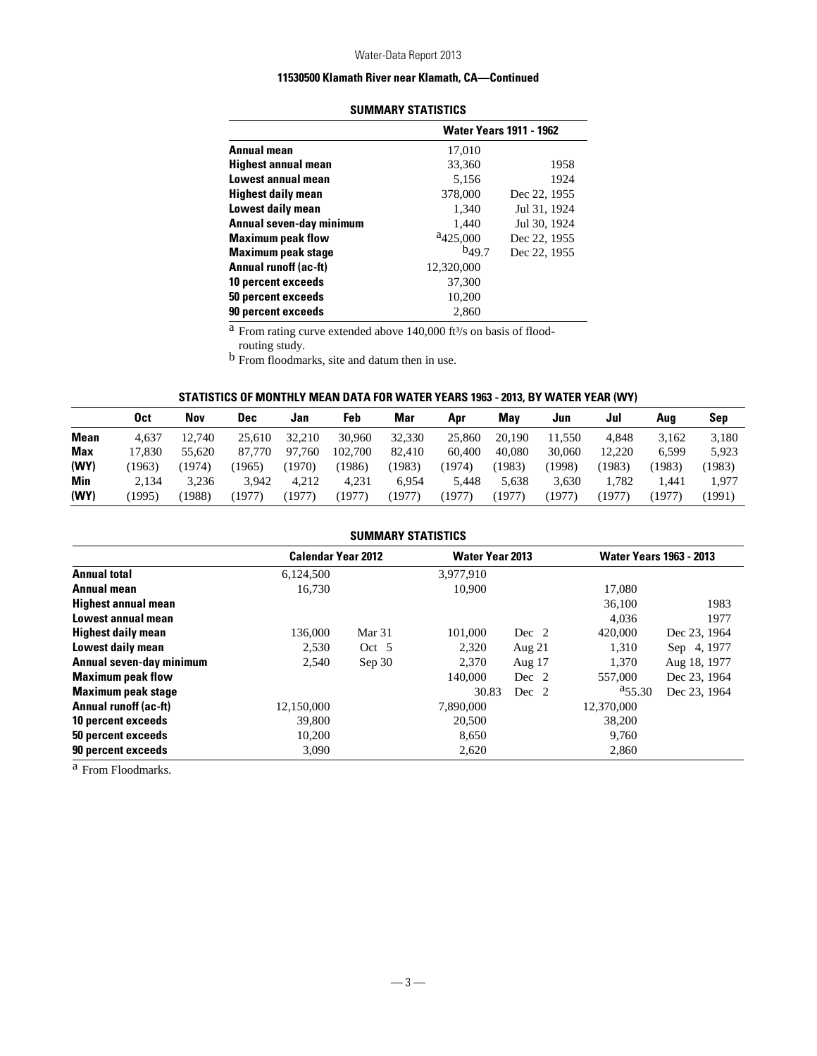### **11530500 Klamath River near Klamath, CA—Continued**

| <b>Water Years 1911 - 1962</b> |              |  |  |  |  |
|--------------------------------|--------------|--|--|--|--|
| 17,010                         |              |  |  |  |  |
| 33,360                         | 1958         |  |  |  |  |
| 5,156                          | 1924         |  |  |  |  |
| 378,000                        | Dec 22, 1955 |  |  |  |  |
| 1,340                          | Jul 31, 1924 |  |  |  |  |
| 1,440                          | Jul 30, 1924 |  |  |  |  |
| <sup>a</sup> 425,000           | Dec 22, 1955 |  |  |  |  |
| $b_{49}$ 7                     | Dec 22, 1955 |  |  |  |  |
| 12,320,000                     |              |  |  |  |  |
| 37,300                         |              |  |  |  |  |
| 10,200                         |              |  |  |  |  |
| 2.860                          |              |  |  |  |  |
|                                |              |  |  |  |  |

# **SUMMARY STATISTICS**

 $a$  From rating curve extended above 140,000 ft $\frac{3}{s}$  on basis of flood-

routing study.

b From floodmarks, site and datum then in use.

# **STATISTICS OF MONTHLY MEAN DATA FOR WATER YEARS 1963 - 2013, BY WATER YEAR (WY)**

|             | 0ct    | Nov    | Dec    | Jan    | Feb     | Mar    | Apr    | Mav    | Jun    | Jul    | Aua    | Sep    |
|-------------|--------|--------|--------|--------|---------|--------|--------|--------|--------|--------|--------|--------|
| <b>Mean</b> | 4.637  | 12.740 | 25,610 | 32.210 | 30.960  | 32,330 | 25,860 | 20.190 | 11,550 | 4.848  | 3.162  | 3,180  |
| <b>Max</b>  | 17.830 | 55.620 | 87,770 | 97.760 | 102.700 | 82.410 | 60,400 | 40,080 | 30,060 | 12.220 | 6.599  | 5.923  |
| (WY)        | (1963) | (1974  | (1965  | (1970) | (1986)  | (1983) | (1974) | (1983) | (1998  | 1983)  | (1983) | (1983) |
| Min         | 2.134  | 3.236  | 3.942  | 4.212  | 4.231   | 6.954  | 5.448  | 5.638  | 3.630  | 1.782  | l.441  | 1.977  |
| (WY)        | (1995) | (1988) | (1977) | (1977) | 1977)   | (1977) | (1977) | (1977) | (1977  | 1977)  | (1977) | (1991) |

### **SUMMARY STATISTICS**

|                              | <b>Calendar Year 2012</b> |         | <b>Water Year 2013</b> |          | <b>Water Years 1963 - 2013</b> |              |
|------------------------------|---------------------------|---------|------------------------|----------|--------------------------------|--------------|
| <b>Annual total</b>          | 6,124,500                 |         | 3.977.910              |          |                                |              |
| Annual mean                  | 16.730                    |         | 10,900                 |          | 17,080                         |              |
| <b>Highest annual mean</b>   |                           |         |                        |          | 36,100                         | 1983         |
| Lowest annual mean           |                           |         |                        |          | 4,036                          | 1977         |
| <b>Highest daily mean</b>    | 136,000                   | Mar 31  | 101,000                | Dec 2    | 420,000                        | Dec 23, 1964 |
| Lowest daily mean            | 2,530                     | Oct $5$ | 2,320                  | Aug $21$ | 1,310                          | Sep 4, 1977  |
| Annual seven-day minimum     | 2.540                     | Sep 30  | 2.370                  | Aug $17$ | 1.370                          | Aug 18, 1977 |
| <b>Maximum peak flow</b>     |                           |         | 140,000                | Dec 2    | 557,000                        | Dec 23, 1964 |
| <b>Maximum peak stage</b>    |                           |         | 30.83                  | Dec 2    | $a_{55,30}$                    | Dec 23, 1964 |
| <b>Annual runoff (ac-ft)</b> | 12,150,000                |         | 7,890,000              |          | 12,370,000                     |              |
| 10 percent exceeds           | 39,800                    |         | 20,500                 |          | 38,200                         |              |
| 50 percent exceeds           | 10,200                    |         | 8,650                  |          | 9,760                          |              |
| <b>90 percent exceeds</b>    | 3,090                     |         | 2,620                  |          | 2,860                          |              |

a From Floodmarks.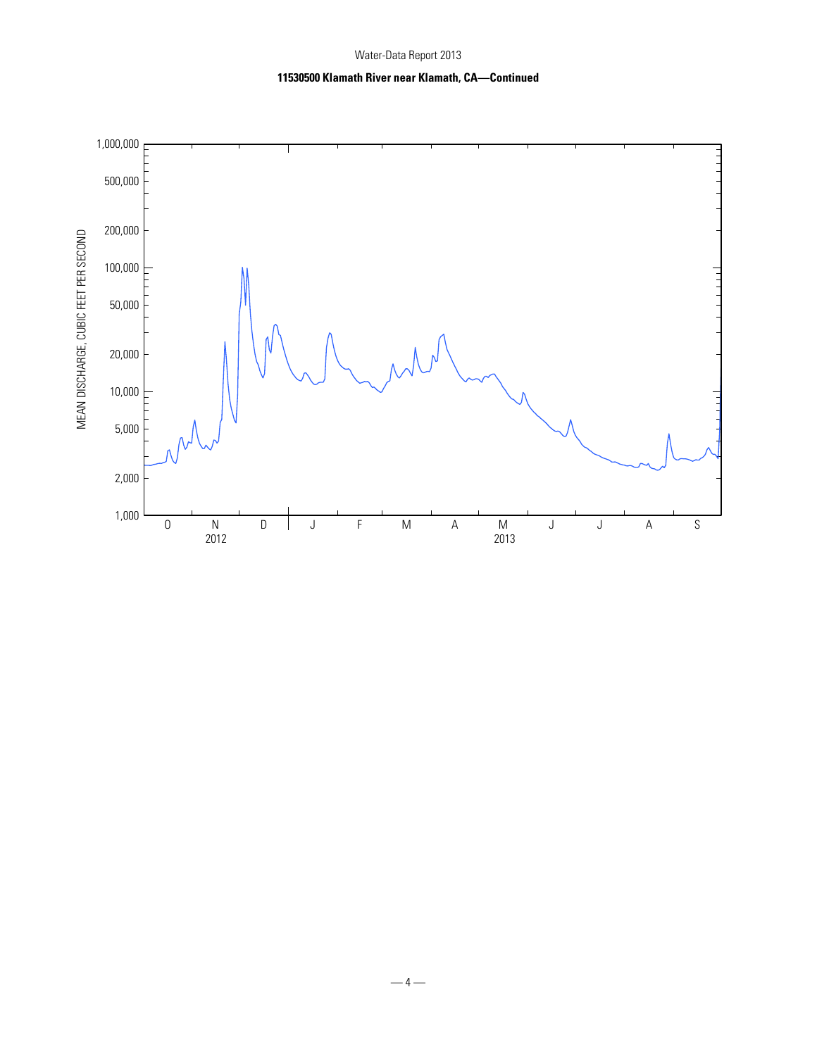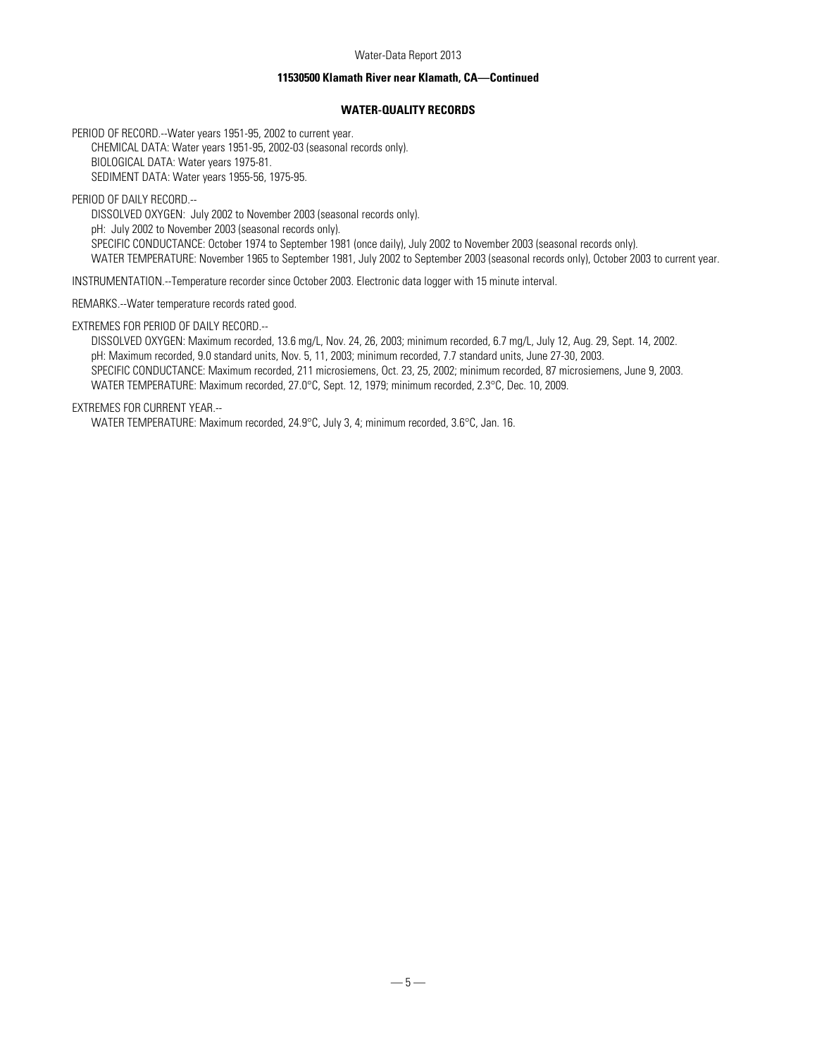#### **11530500 Klamath River near Klamath, CA—Continued**

### **WATER-QUALITY RECORDS**

PERIOD OF RECORD.--Water years 1951-95, 2002 to current year. CHEMICAL DATA: Water years 1951-95, 2002-03 (seasonal records only). BIOLOGICAL DATA: Water years 1975-81. SEDIMENT DATA: Water years 1955-56, 1975-95.

PERIOD OF DAILY RECORD.--

DISSOLVED OXYGEN: July 2002 to November 2003 (seasonal records only). pH: July 2002 to November 2003 (seasonal records only). SPECIFIC CONDUCTANCE: October 1974 to September 1981 (once daily), July 2002 to November 2003 (seasonal records only). WATER TEMPERATURE: November 1965 to September 1981, July 2002 to September 2003 (seasonal records only), October 2003 to current year.

INSTRUMENTATION.--Temperature recorder since October 2003. Electronic data logger with 15 minute interval.

REMARKS.--Water temperature records rated good.

EXTREMES FOR PERIOD OF DAILY RECORD.--

DISSOLVED OXYGEN: Maximum recorded, 13.6 mg/L, Nov. 24, 26, 2003; minimum recorded, 6.7 mg/L, July 12, Aug. 29, Sept. 14, 2002. pH: Maximum recorded, 9.0 standard units, Nov. 5, 11, 2003; minimum recorded, 7.7 standard units, June 27-30, 2003. SPECIFIC CONDUCTANCE: Maximum recorded, 211 microsiemens, Oct. 23, 25, 2002; minimum recorded, 87 microsiemens, June 9, 2003. WATER TEMPERATURE: Maximum recorded, 27.0°C, Sept. 12, 1979; minimum recorded, 2.3°C, Dec. 10, 2009.

#### EXTREMES FOR CURRENT YEAR.--

WATER TEMPERATURE: Maximum recorded, 24.9°C, July 3, 4; minimum recorded, 3.6°C, Jan. 16.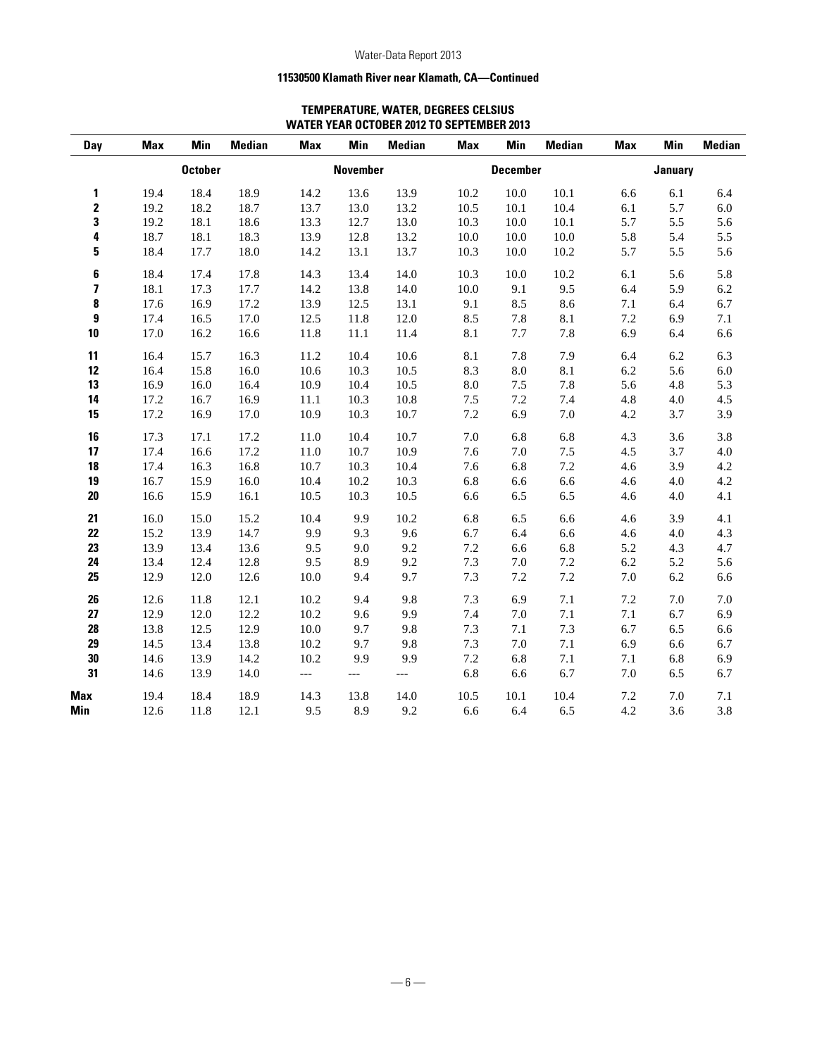#### **TEMPERATURE, WATER, DEGREES CELSIUS WATER YEAR OCTOBER 2012 TO SEPTEMBER 2013**

| Day                     | <b>Max</b> | Min            | <b>Median</b> | <b>Max</b> | Min             | <b>Median</b> | <b>Max</b>      | Min  | <b>Median</b> | <b>Max</b> | Min     | <b>Median</b> |
|-------------------------|------------|----------------|---------------|------------|-----------------|---------------|-----------------|------|---------------|------------|---------|---------------|
|                         |            | <b>October</b> |               |            | <b>November</b> |               | <b>December</b> |      |               |            | January |               |
| 1                       | 19.4       | 18.4           | 18.9          | 14.2       | 13.6            | 13.9          | 10.2            | 10.0 | 10.1          | 6.6        | 6.1     | 6.4           |
| $\boldsymbol{2}$        | 19.2       | 18.2           | 18.7          | 13.7       | 13.0            | 13.2          | 10.5            | 10.1 | 10.4          | 6.1        | 5.7     | 6.0           |
| 3                       | 19.2       | 18.1           | 18.6          | 13.3       | 12.7            | 13.0          | 10.3            | 10.0 | 10.1          | 5.7        | 5.5     | 5.6           |
| 4                       | 18.7       | 18.1           | 18.3          | 13.9       | 12.8            | 13.2          | 10.0            | 10.0 | 10.0          | 5.8        | 5.4     | 5.5           |
| 5                       | 18.4       | 17.7           | 18.0          | 14.2       | 13.1            | 13.7          | 10.3            | 10.0 | 10.2          | 5.7        | 5.5     | 5.6           |
| 6                       | 18.4       | 17.4           | 17.8          | 14.3       | 13.4            | 14.0          | 10.3            | 10.0 | 10.2          | 6.1        | 5.6     | 5.8           |
| $\overline{\mathbf{z}}$ | 18.1       | 17.3           | 17.7          | 14.2       | 13.8            | 14.0          | 10.0            | 9.1  | 9.5           | 6.4        | 5.9     | 6.2           |
| 8                       | 17.6       | 16.9           | 17.2          | 13.9       | 12.5            | 13.1          | 9.1             | 8.5  | 8.6           | $7.1\,$    | 6.4     | 6.7           |
| 9                       | 17.4       | 16.5           | 17.0          | 12.5       | 11.8            | 12.0          | 8.5             | 7.8  | 8.1           | 7.2        | 6.9     | 7.1           |
| 10                      | 17.0       | 16.2           | 16.6          | 11.8       | 11.1            | 11.4          | 8.1             | 7.7  | 7.8           | 6.9        | 6.4     | 6.6           |
| 11                      | 16.4       | 15.7           | 16.3          | 11.2       | 10.4            | 10.6          | 8.1             | 7.8  | 7.9           | 6.4        | 6.2     | 6.3           |
| 12                      | 16.4       | 15.8           | 16.0          | 10.6       | 10.3            | 10.5          | 8.3             | 8.0  | 8.1           | 6.2        | 5.6     | 6.0           |
| 13                      | 16.9       | 16.0           | 16.4          | 10.9       | 10.4            | 10.5          | 8.0             | 7.5  | 7.8           | 5.6        | 4.8     | 5.3           |
| 14                      | 17.2       | 16.7           | 16.9          | 11.1       | 10.3            | 10.8          | 7.5             | 7.2  | 7.4           | 4.8        | 4.0     | 4.5           |
| 15                      | 17.2       | 16.9           | 17.0          | 10.9       | 10.3            | 10.7          | 7.2             | 6.9  | 7.0           | 4.2        | 3.7     | 3.9           |
| 16                      | 17.3       | 17.1           | 17.2          | 11.0       | 10.4            | 10.7          | 7.0             | 6.8  | 6.8           | 4.3        | 3.6     | 3.8           |
| 17                      | 17.4       | 16.6           | 17.2          | 11.0       | 10.7            | 10.9          | 7.6             | 7.0  | $7.5$         | 4.5        | 3.7     | 4.0           |
| 18                      | 17.4       | 16.3           | 16.8          | 10.7       | 10.3            | 10.4          | 7.6             | 6.8  | $7.2\,$       | 4.6        | 3.9     | 4.2           |
| 19                      | 16.7       | 15.9           | 16.0          | 10.4       | 10.2            | 10.3          | 6.8             | 6.6  | 6.6           | 4.6        | 4.0     | 4.2           |
| 20                      | 16.6       | 15.9           | 16.1          | 10.5       | 10.3            | 10.5          | 6.6             | 6.5  | 6.5           | 4.6        | 4.0     | 4.1           |
| 21                      | 16.0       | 15.0           | 15.2          | 10.4       | 9.9             | $10.2\,$      | 6.8             | 6.5  | 6.6           | 4.6        | 3.9     | 4.1           |
| 22                      | 15.2       | 13.9           | 14.7          | 9.9        | 9.3             | 9.6           | 6.7             | 6.4  | 6.6           | 4.6        | 4.0     | 4.3           |
| 23                      | 13.9       | 13.4           | 13.6          | 9.5        | 9.0             | 9.2           | 7.2             | 6.6  | 6.8           | 5.2        | 4.3     | 4.7           |
| 24                      | 13.4       | 12.4           | 12.8          | 9.5        | 8.9             | 9.2           | 7.3             | 7.0  | $7.2\,$       | 6.2        | 5.2     | 5.6           |
| 25                      | 12.9       | 12.0           | 12.6          | 10.0       | 9.4             | 9.7           | 7.3             | 7.2  | 7.2           | 7.0        | 6.2     | 6.6           |
| 26                      | 12.6       | 11.8           | 12.1          | 10.2       | 9.4             | 9.8           | 7.3             | 6.9  | 7.1           | 7.2        | 7.0     | 7.0           |
| 27                      | 12.9       | 12.0           | 12.2          | 10.2       | 9.6             | 9.9           | 7.4             | 7.0  | 7.1           | 7.1        | 6.7     | 6.9           |
| 28                      | 13.8       | 12.5           | 12.9          | 10.0       | 9.7             | 9.8           | 7.3             | 7.1  | 7.3           | 6.7        | 6.5     | 6.6           |
| 29                      | 14.5       | 13.4           | 13.8          | 10.2       | 9.7             | 9.8           | 7.3             | 7.0  | 7.1           | 6.9        | 6.6     | 6.7           |
| 30                      | 14.6       | 13.9           | 14.2          | 10.2       | 9.9             | 9.9           | 7.2             | 6.8  | 7.1           | 7.1        | 6.8     | 6.9           |
| 31                      | 14.6       | 13.9           | 14.0          | $---$      | $---$           | $---$         | 6.8             | 6.6  | 6.7           | 7.0        | 6.5     | 6.7           |
| Max                     | 19.4       | 18.4           | 18.9          | 14.3       | 13.8            | 14.0          | 10.5            | 10.1 | 10.4          | 7.2        | 7.0     | 7.1           |
| Min                     | 12.6       | 11.8           | 12.1          | 9.5        | 8.9             | 9.2           | 6.6             | 6.4  | 6.5           | 4.2        | 3.6     | 3.8           |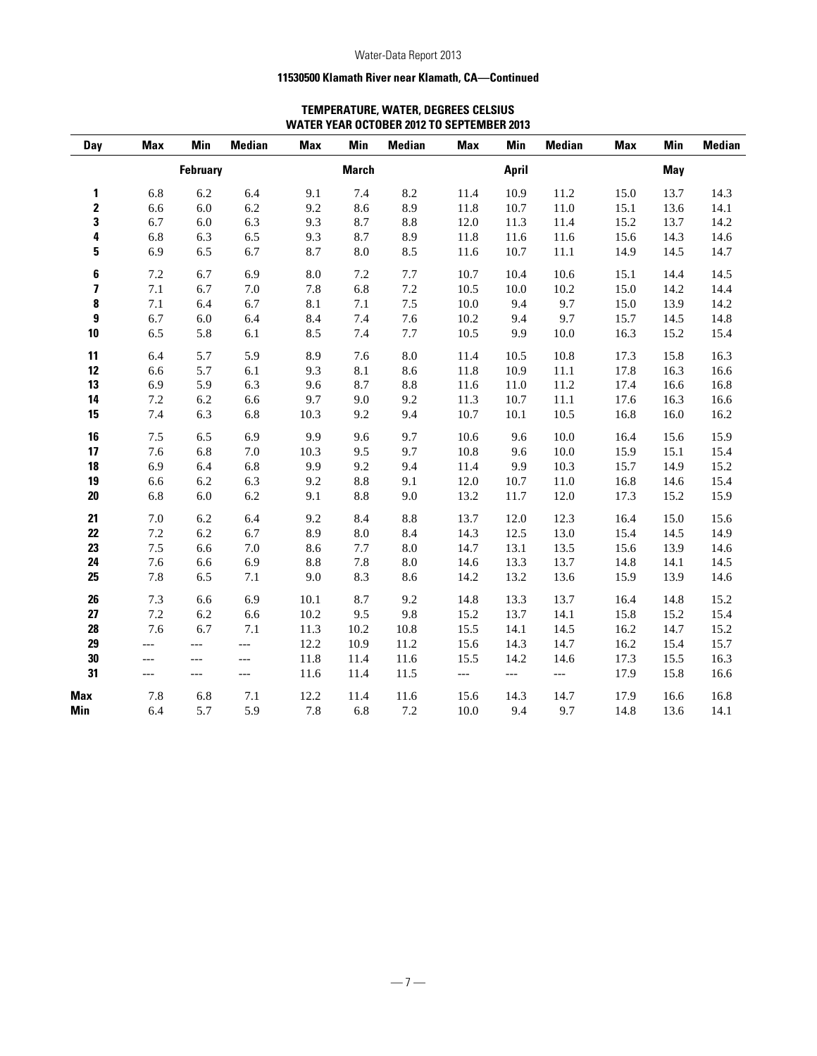#### **TEMPERATURE, WATER, DEGREES CELSIUS WATER YEAR OCTOBER 2012 TO SEPTEMBER 2013**

| Day                     | <b>Max</b> | Min             | <b>Median</b> | <b>Max</b> | Min          | <b>Median</b> | <b>Max</b> | Min            | <b>Median</b> | <b>Max</b> | <b>Min</b> | <b>Median</b> |
|-------------------------|------------|-----------------|---------------|------------|--------------|---------------|------------|----------------|---------------|------------|------------|---------------|
|                         |            | <b>February</b> |               |            | <b>March</b> |               |            | April          |               |            | May        |               |
| 1                       | 6.8        | 6.2             | 6.4           | 9.1        | 7.4          | 8.2           | 11.4       | 10.9           | 11.2          | 15.0       | 13.7       | 14.3          |
| $\boldsymbol{2}$        | 6.6        | 6.0             | 6.2           | 9.2        | 8.6          | 8.9           | 11.8       | 10.7           | 11.0          | 15.1       | 13.6       | 14.1          |
| 3                       | 6.7        | 6.0             | 6.3           | 9.3        | 8.7          | 8.8           | 12.0       | 11.3           | 11.4          | 15.2       | 13.7       | 14.2          |
| 4                       | 6.8        | 6.3             | 6.5           | 9.3        | 8.7          | 8.9           | 11.8       | 11.6           | 11.6          | 15.6       | 14.3       | 14.6          |
| 5                       | 6.9        | 6.5             | 6.7           | 8.7        | $\ \, 8.0$   | 8.5           | 11.6       | 10.7           | 11.1          | 14.9       | 14.5       | 14.7          |
| 6                       | 7.2        | 6.7             | 6.9           | 8.0        | 7.2          | 7.7           | 10.7       | 10.4           | 10.6          | 15.1       | 14.4       | 14.5          |
| $\overline{\mathbf{z}}$ | 7.1        | 6.7             | 7.0           | 7.8        | 6.8          | 7.2           | 10.5       | 10.0           | 10.2          | 15.0       | 14.2       | 14.4          |
| 8                       | $7.1\,$    | 6.4             | 6.7           | $8.1\,$    | $7.1\,$      | 7.5           | 10.0       | 9.4            | 9.7           | 15.0       | 13.9       | 14.2          |
| 9                       | 6.7        | $6.0\,$         | 6.4           | 8.4        | $7.4\,$      | 7.6           | 10.2       | 9.4            | 9.7           | 15.7       | 14.5       | 14.8          |
| 10                      | 6.5        | 5.8             | 6.1           | 8.5        | 7.4          | 7.7           | 10.5       | 9.9            | 10.0          | 16.3       | 15.2       | 15.4          |
| 11                      | 6.4        | 5.7             | 5.9           | 8.9        | 7.6          | 8.0           | 11.4       | 10.5           | 10.8          | 17.3       | 15.8       | 16.3          |
| 12                      | 6.6        | 5.7             | 6.1           | 9.3        | 8.1          | 8.6           | 11.8       | 10.9           | $11.1\,$      | 17.8       | 16.3       | 16.6          |
| 13                      | 6.9        | 5.9             | 6.3           | 9.6        | 8.7          | 8.8           | 11.6       | 11.0           | 11.2          | 17.4       | 16.6       | 16.8          |
| 14                      | 7.2        | 6.2             | 6.6           | 9.7        | 9.0          | 9.2           | 11.3       | 10.7           | $11.1\,$      | 17.6       | 16.3       | 16.6          |
| 15                      | 7.4        | 6.3             | 6.8           | 10.3       | 9.2          | 9.4           | 10.7       | 10.1           | 10.5          | 16.8       | 16.0       | 16.2          |
| 16                      | 7.5        | 6.5             | 6.9           | 9.9        | 9.6          | 9.7           | 10.6       | 9.6            | 10.0          | 16.4       | 15.6       | 15.9          |
| 17                      | 7.6        | 6.8             | 7.0           | 10.3       | 9.5          | 9.7           | 10.8       | 9.6            | 10.0          | 15.9       | 15.1       | 15.4          |
| 18                      | 6.9        | 6.4             | 6.8           | 9.9        | 9.2          | 9.4           | 11.4       | 9.9            | 10.3          | 15.7       | 14.9       | 15.2          |
| 19                      | 6.6        | 6.2             | 6.3           | 9.2        | $8.8\,$      | 9.1           | 12.0       | 10.7           | 11.0          | 16.8       | 14.6       | 15.4          |
| 20                      | 6.8        | 6.0             | 6.2           | 9.1        | 8.8          | 9.0           | 13.2       | 11.7           | 12.0          | 17.3       | 15.2       | 15.9          |
| 21                      | 7.0        | 6.2             | 6.4           | 9.2        | 8.4          | 8.8           | 13.7       | 12.0           | 12.3          | 16.4       | 15.0       | 15.6          |
| 22                      | 7.2        | 6.2             | 6.7           | 8.9        | 8.0          | 8.4           | 14.3       | 12.5           | 13.0          | 15.4       | 14.5       | 14.9          |
| 23                      | $7.5\,$    | 6.6             | 7.0           | 8.6        | 7.7          | $8.0\,$       | 14.7       | 13.1           | 13.5          | 15.6       | 13.9       | 14.6          |
| 24                      | 7.6        | 6.6             | 6.9           | 8.8        | 7.8          | 8.0           | 14.6       | 13.3           | 13.7          | 14.8       | 14.1       | 14.5          |
| 25                      | 7.8        | 6.5             | 7.1           | 9.0        | 8.3          | 8.6           | 14.2       | 13.2           | 13.6          | 15.9       | 13.9       | 14.6          |
| 26                      | 7.3        | 6.6             | 6.9           | 10.1       | 8.7          | 9.2           | 14.8       | 13.3           | 13.7          | 16.4       | 14.8       | 15.2          |
| 27                      | 7.2        | 6.2             | 6.6           | 10.2       | 9.5          | 9.8           | 15.2       | 13.7           | 14.1          | 15.8       | 15.2       | 15.4          |
| 28                      | 7.6        | 6.7             | $7.1\,$       | 11.3       | 10.2         | 10.8          | 15.5       | 14.1           | 14.5          | 16.2       | 14.7       | 15.2          |
| 29                      | $---$      | $---$           | $---$         | 12.2       | 10.9         | 11.2          | 15.6       | 14.3           | 14.7          | 16.2       | 15.4       | 15.7          |
| 30                      | $---$      | ---             | $---$         | 11.8       | 11.4         | 11.6          | 15.5       | 14.2           | 14.6          | 17.3       | 15.5       | 16.3          |
| 31                      |            | $---$           | $---$         | 11.6       | 11.4         | 11.5          | $---$      | $\overline{a}$ | $---$         | 17.9       | 15.8       | 16.6          |
| <b>Max</b>              | 7.8        | 6.8             | 7.1           | 12.2       | 11.4         | 11.6          | 15.6       | 14.3           | 14.7          | 17.9       | 16.6       | 16.8          |
| Min                     | 6.4        | 5.7             | 5.9           | 7.8        | 6.8          | $7.2\,$       | 10.0       | 9.4            | 9.7           | 14.8       | 13.6       | 14.1          |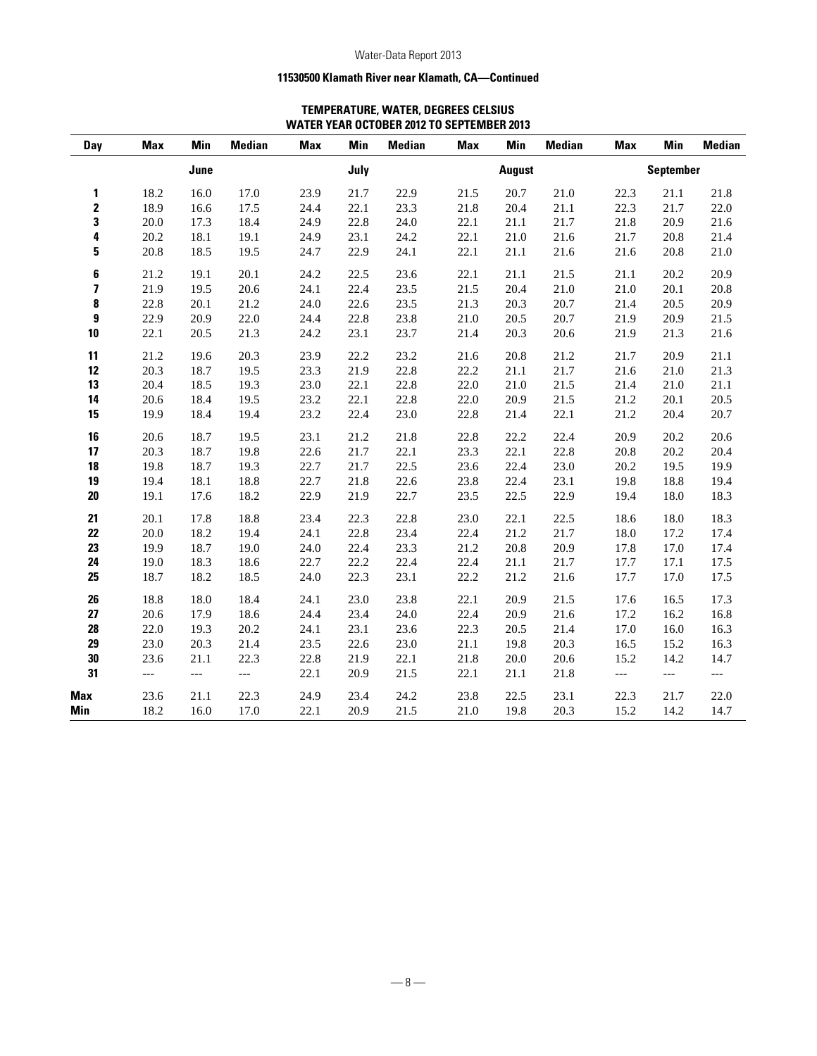#### **TEMPERATURE, WATER, DEGREES CELSIUS WATER YEAR OCTOBER 2012 TO SEPTEMBER 2013**

| Day                     | <b>Max</b> | Min   | <b>Median</b> | <b>Max</b> | Min  | <b>Median</b> | <b>Max</b> | Min           | <b>Median</b> | <b>Max</b> | <b>Min</b>       | <b>Median</b> |
|-------------------------|------------|-------|---------------|------------|------|---------------|------------|---------------|---------------|------------|------------------|---------------|
|                         |            | June  |               |            | July |               |            | <b>August</b> |               |            | <b>September</b> |               |
| 1                       | 18.2       | 16.0  | 17.0          | 23.9       | 21.7 | 22.9          | 21.5       | 20.7          | 21.0          | 22.3       | 21.1             | 21.8          |
| $\boldsymbol{2}$        | 18.9       | 16.6  | 17.5          | 24.4       | 22.1 | 23.3          | 21.8       | 20.4          | 21.1          | 22.3       | 21.7             | 22.0          |
| 3                       | 20.0       | 17.3  | 18.4          | 24.9       | 22.8 | 24.0          | 22.1       | 21.1          | 21.7          | 21.8       | 20.9             | 21.6          |
| 4                       | 20.2       | 18.1  | 19.1          | 24.9       | 23.1 | 24.2          | 22.1       | 21.0          | 21.6          | 21.7       | 20.8             | 21.4          |
| 5                       | 20.8       | 18.5  | 19.5          | 24.7       | 22.9 | 24.1          | 22.1       | 21.1          | 21.6          | 21.6       | 20.8             | 21.0          |
| 6                       | 21.2       | 19.1  | 20.1          | 24.2       | 22.5 | 23.6          | 22.1       | 21.1          | 21.5          | 21.1       | 20.2             | 20.9          |
| $\overline{\mathbf{z}}$ | 21.9       | 19.5  | 20.6          | 24.1       | 22.4 | 23.5          | 21.5       | 20.4          | 21.0          | 21.0       | 20.1             | 20.8          |
| 8                       | 22.8       | 20.1  | 21.2          | 24.0       | 22.6 | 23.5          | 21.3       | 20.3          | 20.7          | 21.4       | 20.5             | 20.9          |
| 9                       | 22.9       | 20.9  | 22.0          | 24.4       | 22.8 | 23.8          | 21.0       | 20.5          | 20.7          | 21.9       | 20.9             | 21.5          |
| 10                      | 22.1       | 20.5  | 21.3          | 24.2       | 23.1 | 23.7          | 21.4       | 20.3          | 20.6          | 21.9       | 21.3             | 21.6          |
| 11                      | 21.2       | 19.6  | 20.3          | 23.9       | 22.2 | 23.2          | 21.6       | 20.8          | 21.2          | 21.7       | 20.9             | 21.1          |
| 12                      | 20.3       | 18.7  | 19.5          | 23.3       | 21.9 | 22.8          | 22.2       | 21.1          | 21.7          | 21.6       | 21.0             | 21.3          |
| 13                      | 20.4       | 18.5  | 19.3          | 23.0       | 22.1 | 22.8          | 22.0       | 21.0          | 21.5          | 21.4       | 21.0             | 21.1          |
| 14                      | 20.6       | 18.4  | 19.5          | 23.2       | 22.1 | 22.8          | 22.0       | 20.9          | 21.5          | 21.2       | 20.1             | 20.5          |
| 15                      | 19.9       | 18.4  | 19.4          | 23.2       | 22.4 | 23.0          | 22.8       | 21.4          | 22.1          | 21.2       | 20.4             | 20.7          |
| 16                      | 20.6       | 18.7  | 19.5          | 23.1       | 21.2 | 21.8          | 22.8       | 22.2          | 22.4          | 20.9       | 20.2             | 20.6          |
| 17                      | 20.3       | 18.7  | 19.8          | 22.6       | 21.7 | 22.1          | 23.3       | 22.1          | 22.8          | 20.8       | 20.2             | 20.4          |
| 18                      | 19.8       | 18.7  | 19.3          | 22.7       | 21.7 | 22.5          | 23.6       | 22.4          | 23.0          | 20.2       | 19.5             | 19.9          |
| 19                      | 19.4       | 18.1  | 18.8          | 22.7       | 21.8 | 22.6          | 23.8       | 22.4          | 23.1          | 19.8       | 18.8             | 19.4          |
| $20\,$                  | 19.1       | 17.6  | 18.2          | 22.9       | 21.9 | 22.7          | 23.5       | 22.5          | 22.9          | 19.4       | 18.0             | 18.3          |
| 21                      | 20.1       | 17.8  | 18.8          | 23.4       | 22.3 | 22.8          | 23.0       | 22.1          | 22.5          | 18.6       | 18.0             | 18.3          |
| 22                      | 20.0       | 18.2  | 19.4          | 24.1       | 22.8 | 23.4          | 22.4       | 21.2          | 21.7          | 18.0       | 17.2             | 17.4          |
| 23                      | 19.9       | 18.7  | 19.0          | 24.0       | 22.4 | 23.3          | 21.2       | 20.8          | 20.9          | 17.8       | 17.0             | 17.4          |
| 24                      | 19.0       | 18.3  | 18.6          | 22.7       | 22.2 | 22.4          | 22.4       | 21.1          | 21.7          | 17.7       | 17.1             | 17.5          |
| 25                      | 18.7       | 18.2  | 18.5          | 24.0       | 22.3 | 23.1          | 22.2       | 21.2          | 21.6          | 17.7       | 17.0             | 17.5          |
| 26                      | 18.8       | 18.0  | 18.4          | 24.1       | 23.0 | 23.8          | 22.1       | 20.9          | 21.5          | 17.6       | 16.5             | 17.3          |
| 27                      | 20.6       | 17.9  | 18.6          | 24.4       | 23.4 | 24.0          | 22.4       | 20.9          | 21.6          | 17.2       | 16.2             | 16.8          |
| 28                      | 22.0       | 19.3  | 20.2          | 24.1       | 23.1 | 23.6          | 22.3       | 20.5          | 21.4          | 17.0       | 16.0             | 16.3          |
| 29                      | 23.0       | 20.3  | 21.4          | 23.5       | 22.6 | 23.0          | 21.1       | 19.8          | 20.3          | 16.5       | 15.2             | 16.3          |
| 30                      | 23.6       | 21.1  | 22.3          | 22.8       | 21.9 | 22.1          | 21.8       | 20.0          | 20.6          | 15.2       | 14.2             | 14.7          |
| 31                      | $---$      | $---$ | $---$         | 22.1       | 20.9 | 21.5          | 22.1       | 21.1          | 21.8          | ---        | $---$            | $---$         |
| <b>Max</b>              | 23.6       | 21.1  | 22.3          | 24.9       | 23.4 | 24.2          | 23.8       | 22.5          | 23.1          | 22.3       | 21.7             | 22.0          |
| Min                     | 18.2       | 16.0  | 17.0          | 22.1       | 20.9 | 21.5          | 21.0       | 19.8          | 20.3          | 15.2       | 14.2             | 14.7          |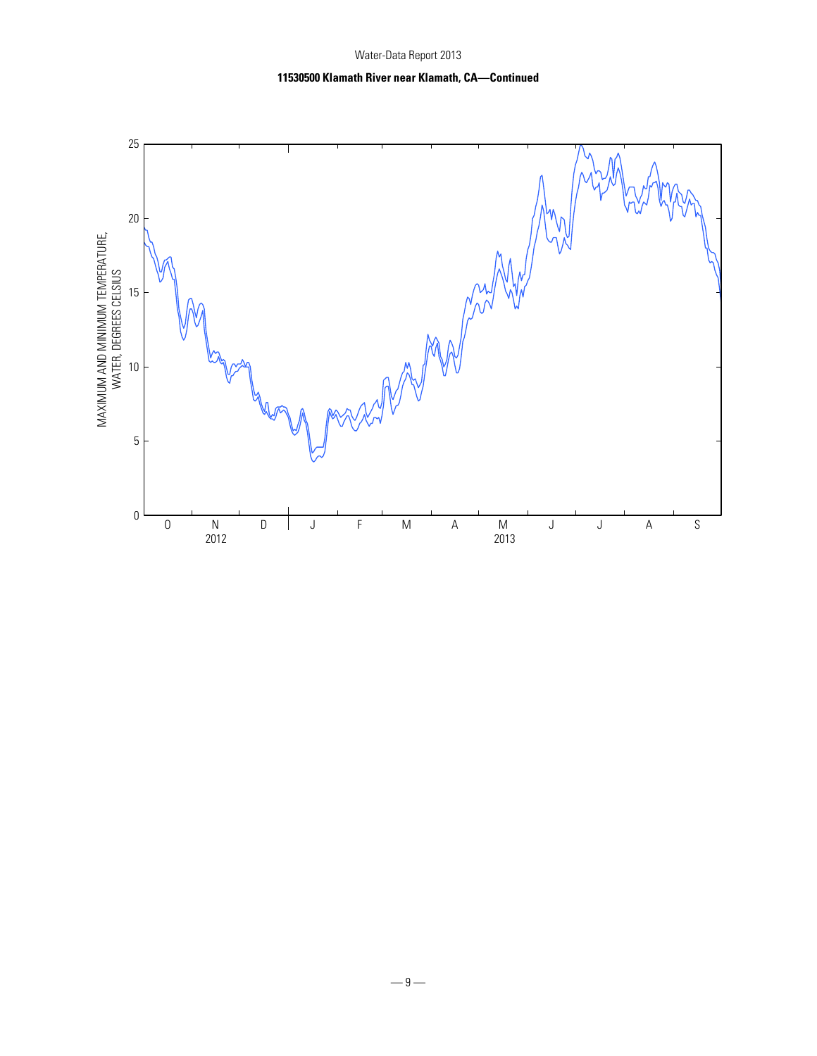